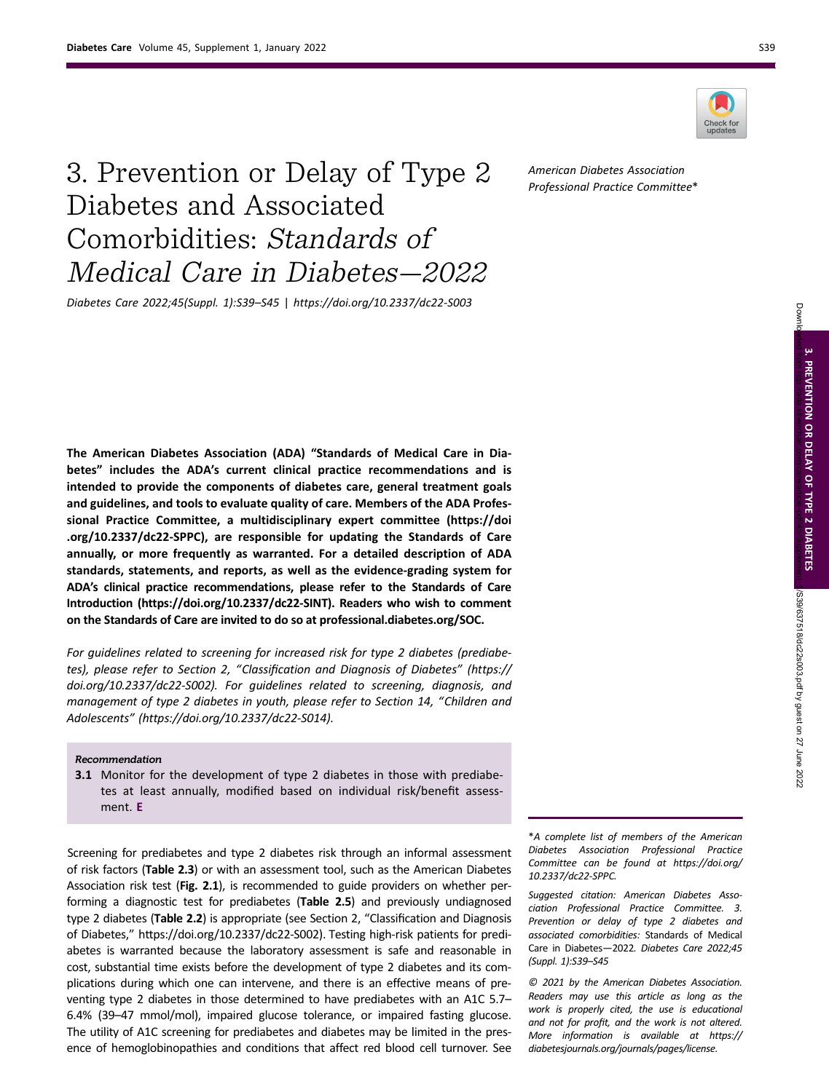



# 3. Prevention or Delay of Type 2 Diabetes and Associated Comorbidities: Standards of Medical Care in Diabetes—2022

Diabetes Care 2022;45(Suppl. 1):S39–S45 | https://doi.org/10.2337/dc22-S003

The American Diabetes Association (ADA) "Standards of Medical Care in Diabetes" includes the ADA's current clinical practice recommendations and is intended to provide the components of diabetes care, general treatment goals and guidelines, and tools to evaluate quality of care. Members of the ADA Professional Practice Committee, a multidisciplinary expert committee ([https://doi](https://doi.org/10.2337/dc22-SPPC) [.org/10.2337/dc22-SPPC\)](https://doi.org/10.2337/dc22-SPPC), are responsible for updating the Standards of Care annually, or more frequently as warranted. For a detailed description of ADA standards, statements, and reports, as well as the evidence-grading system for ADA's clinical practice recommendations, please refer to the Standards of Care Introduction [\(https://doi.org/10.2337/dc22-SINT\)](https://doi.org/10.2337/dc22-SINT). Readers who wish to comment on the Standards of Care are invited to do so at [professional.diabetes.org/SOC.](https://professional.diabetes.org/SOC)

For guidelines related to screening for increased risk for type 2 diabetes (prediabetes), please refer to Section 2, "Classification and Diagnosis of Diabetes" ([https://](https://doi.org/10.2337/dc22-S002) [doi.org/10.2337/dc22-S002](https://doi.org/10.2337/dc22-S002)). For guidelines related to screening, diagnosis, and management of type 2 diabetes in youth, please refer to Section 14, "Children and Adolescents" [\(https://doi.org/10.2337/dc22-S014](https://doi.org/10.2337/dc22-S014)).

#### Recommendation

**3.1** Monitor for the development of type 2 diabetes in those with prediabetes at least annually, modified based on individual risk/benefit assessment. E

Screening for prediabetes and type 2 diabetes risk through an informal assessment of risk factors (Table 2.3) or with an assessment tool, such as the American Diabetes Association risk test (Fig. 2.1), is recommended to guide providers on whether performing a diagnostic test for prediabetes (Table 2.5) and previously undiagnosed type 2 diabetes (Table 2.2) is appropriate (see Section 2, "Classification and Diagnosis of Diabetes," [https://doi.org/10.2337/dc22-S002\)](https://doi.org/10.2337/dc22-S002). Testing high-risk patients for prediabetes is warranted because the laboratory assessment is safe and reasonable in cost, substantial time exists before the development of type 2 diabetes and its complications during which one can intervene, and there is an effective means of preventing type 2 diabetes in those determined to have prediabetes with an A1C 5.7– 6.4% (39–47 mmol/mol), impaired glucose tolerance, or impaired fasting glucose. The utility of A1C screening for prediabetes and diabetes may be limited in the presence of hemoglobinopathies and conditions that affect red blood cell turnover. See \*A complete list of members of the American Diabetes Association Professional Practice Committee can be found at [https://doi.org/](https://doi.org/10.2337/dc22-SPPC) [10.2337/dc22-SPPC](https://doi.org/10.2337/dc22-SPPC).

Suggested citation: American Diabetes Association Professional Practice Committee. 3. Prevention or delay of type 2 diabetes and associated comorbidities: Standards of Medical Care in Diabetes—2022. Diabetes Care 2022;45 (Suppl. 1):S39–S45

© 2021 by the American Diabetes Association. Readers may use this article as long as the work is properly cited, the use is educational and not for profit, and the work is not altered. More information is available at [https://](https://diabetesjournals.org/journals/pages/license) [diabetesjournals.org/journals/pages/license.](https://diabetesjournals.org/journals/pages/license)

American Diabetes Association

Professional Practice Committee\*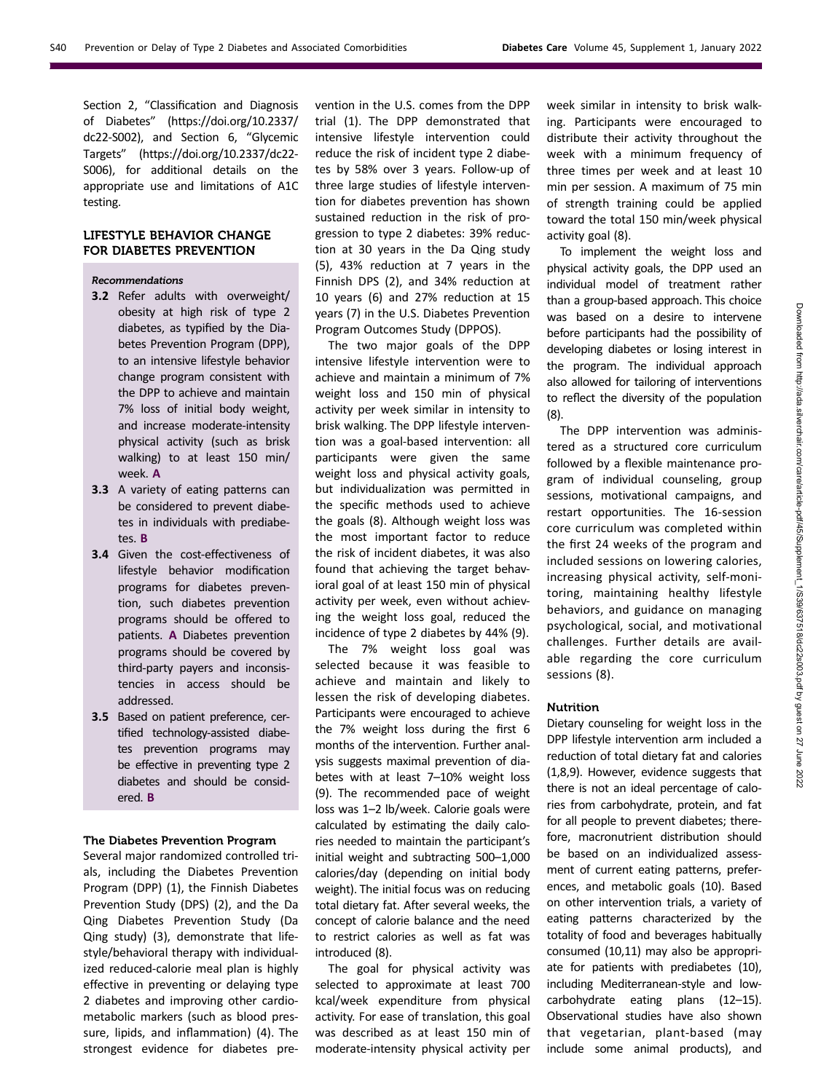Section 2, "Classification and Diagnosis of Diabetes" ([https://doi.org/10.2337/](https://doi.org/10.2337/dc22-S002) [dc22-S002](https://doi.org/10.2337/dc22-S002)), and Section 6, "Glycemic Targets" [\(https://doi.org/10.2337/dc22-](https://doi.org/10.2337/dc22-S006) [S006\)](https://doi.org/10.2337/dc22-S006), for additional details on the appropriate use and limitations of A1C testing.

# LIFESTYLE BEHAVIOR CHANGE FOR DIABETES PREVENTION

### Recommendations

- 3.2 Refer adults with overweight/ obesity at high risk of type 2 diabetes, as typified by the Diabetes Prevention Program (DPP), to an intensive lifestyle behavior change program consistent with the DPP to achieve and maintain 7% loss of initial body weight, and increase moderate-intensity physical activity (such as brisk walking) to at least 150 min/ week. A
- 3.3 A variety of eating patterns can be considered to prevent diabetes in individuals with prediabetes. B
- 3.4 Given the cost-effectiveness of lifestyle behavior modification programs for diabetes prevention, such diabetes prevention programs should be offered to patients. A Diabetes prevention programs should be covered by third-party payers and inconsistencies in access should be addressed.
- 3.5 Based on patient preference, certified technology-assisted diabetes prevention programs may be effective in preventing type 2 diabetes and should be considered. B

#### The Diabetes Prevention Program

Several major randomized controlled trials, including the Diabetes Prevention Program (DPP) (1), the Finnish Diabetes Prevention Study (DPS) (2), and the Da Qing Diabetes Prevention Study (Da Qing study) (3), demonstrate that lifestyle/behavioral therapy with individualized reduced-calorie meal plan is highly effective in preventing or delaying type 2 diabetes and improving other cardiometabolic markers (such as blood pressure, lipids, and inflammation) (4). The strongest evidence for diabetes prevention in the U.S. comes from the DPP trial (1). The DPP demonstrated that intensive lifestyle intervention could reduce the risk of incident type 2 diabetes by 58% over 3 years. Follow-up of three large studies of lifestyle intervention for diabetes prevention has shown sustained reduction in the risk of progression to type 2 diabetes: 39% reduction at 30 years in the Da Qing study (5), 43% reduction at 7 years in the Finnish DPS (2), and 34% reduction at 10 years (6) and 27% reduction at 15 years (7) in the U.S. Diabetes Prevention Program Outcomes Study (DPPOS).

The two major goals of the DPP intensive lifestyle intervention were to achieve and maintain a minimum of 7% weight loss and 150 min of physical activity per week similar in intensity to brisk walking. The DPP lifestyle intervention was a goal-based intervention: all participants were given the same weight loss and physical activity goals, but individualization was permitted in the specific methods used to achieve the goals (8). Although weight loss was the most important factor to reduce the risk of incident diabetes, it was also found that achieving the target behavioral goal of at least 150 min of physical activity per week, even without achieving the weight loss goal, reduced the incidence of type 2 diabetes by 44% (9).

The 7% weight loss goal was selected because it was feasible to achieve and maintain and likely to lessen the risk of developing diabetes. Participants were encouraged to achieve the 7% weight loss during the first 6 months of the intervention. Further analysis suggests maximal prevention of diabetes with at least 7–10% weight loss (9). The recommended pace of weight loss was 1–2 lb/week. Calorie goals were calculated by estimating the daily calories needed to maintain the participant's initial weight and subtracting 500–1,000 calories/day (depending on initial body weight). The initial focus was on reducing total dietary fat. After several weeks, the concept of calorie balance and the need to restrict calories as well as fat was introduced (8).

The goal for physical activity was selected to approximate at least 700 kcal/week expenditure from physical activity. For ease of translation, this goal was described as at least 150 min of moderate-intensity physical activity per

week similar in intensity to brisk walking. Participants were encouraged to distribute their activity throughout the week with a minimum frequency of three times per week and at least 10 min per session. A maximum of 75 min of strength training could be applied toward the total 150 min/week physical activity goal (8).

To implement the weight loss and physical activity goals, the DPP used an individual model of treatment rather than a group-based approach. This choice was based on a desire to intervene before participants had the possibility of developing diabetes or losing interest in the program. The individual approach also allowed for tailoring of interventions to reflect the diversity of the population (8).

The DPP intervention was administered as a structured core curriculum followed by a flexible maintenance program of individual counseling, group sessions, motivational campaigns, and restart opportunities. The 16-session core curriculum was completed within the first 24 weeks of the program and included sessions on lowering calories, increasing physical activity, self-monitoring, maintaining healthy lifestyle behaviors, and guidance on managing psychological, social, and motivational challenges. Further details are available regarding the core curriculum sessions (8).

## Nutrition

Dietary counseling for weight loss in the DPP lifestyle intervention arm included a reduction of total dietary fat and calories (1,8,9). However, evidence suggests that there is not an ideal percentage of calories from carbohydrate, protein, and fat for all people to prevent diabetes; therefore, macronutrient distribution should be based on an individualized assessment of current eating patterns, preferences, and metabolic goals (10). Based on other intervention trials, a variety of eating patterns characterized by the totality of food and beverages habitually consumed (10,11) may also be appropriate for patients with prediabetes (10), including Mediterranean-style and lowcarbohydrate eating plans (12–15). Observational studies have also shown that vegetarian, plant-based (may include some animal products), and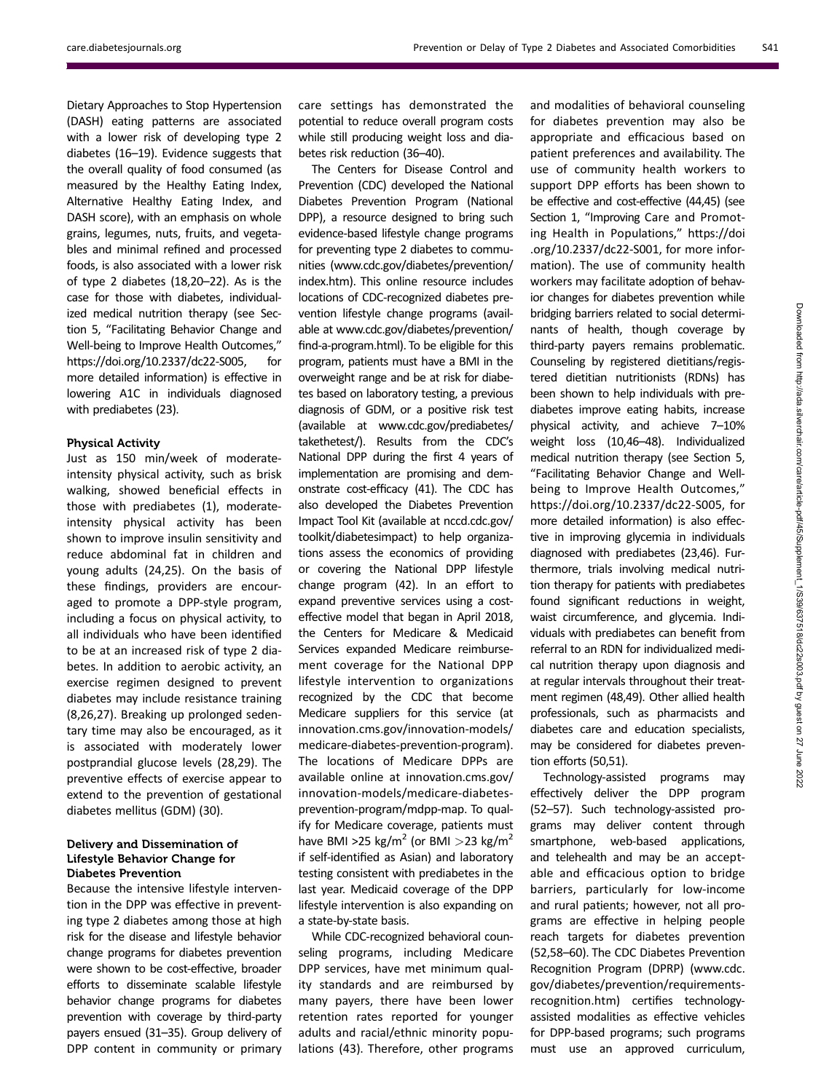Dietary Approaches to Stop Hypertension (DASH) eating patterns are associated with a lower risk of developing type 2 diabetes (16–19). Evidence suggests that the overall quality of food consumed (as measured by the Healthy Eating Index, Alternative Healthy Eating Index, and DASH score), with an emphasis on whole grains, legumes, nuts, fruits, and vegetables and minimal refined and processed foods, is also associated with a lower risk of type 2 diabetes (18,20–22). As is the case for those with diabetes, individualized medical nutrition therapy (see Section 5, "Facilitating Behavior Change and Well-being to Improve Health Outcomes," [https://doi.org/10.2337/dc22-S005,](https://doi.org/10.2337/dc22-S005) for more detailed information) is effective in lowering A1C in individuals diagnosed with prediabetes (23).

### Physical Activity

Just as 150 min/week of moderateintensity physical activity, such as brisk walking, showed beneficial effects in those with prediabetes (1), moderateintensity physical activity has been shown to improve insulin sensitivity and reduce abdominal fat in children and young adults (24,25). On the basis of these findings, providers are encouraged to promote a DPP-style program, including a focus on physical activity, to all individuals who have been identified to be at an increased risk of type 2 diabetes. In addition to aerobic activity, an exercise regimen designed to prevent diabetes may include resistance training (8,26,27). Breaking up prolonged sedentary time may also be encouraged, as it is associated with moderately lower postprandial glucose levels (28,29). The preventive effects of exercise appear to extend to the prevention of gestational diabetes mellitus (GDM) (30).

## Delivery and Dissemination of Lifestyle Behavior Change for Diabetes Prevention

Because the intensive lifestyle intervention in the DPP was effective in preventing type 2 diabetes among those at high risk for the disease and lifestyle behavior change programs for diabetes prevention were shown to be cost-effective, broader efforts to disseminate scalable lifestyle behavior change programs for diabetes prevention with coverage by third-party payers ensued (31–35). Group delivery of DPP content in community or primary

care settings has demonstrated the potential to reduce overall program costs while still producing weight loss and diabetes risk reduction (36–40).

The Centers for Disease Control and Prevention (CDC) developed the National Diabetes Prevention Program (National DPP), a resource designed to bring such evidence-based lifestyle change programs for preventing type 2 diabetes to communities [\(www.cdc.gov/diabetes/prevention/](http://www.cdc.gov/diabetes/prevention/index.htm) [index.htm](http://www.cdc.gov/diabetes/prevention/index.htm)). This online resource includes locations of CDC-recognized diabetes prevention lifestyle change programs (available at [www.cdc.gov/diabetes/prevention/](http://www.cdc.gov/diabetes/prevention/find-a-program.html) fi[nd-a-program.html](http://www.cdc.gov/diabetes/prevention/find-a-program.html)). To be eligible for this program, patients must have a BMI in the overweight range and be at risk for diabetes based on laboratory testing, a previous diagnosis of GDM, or a positive risk test (available at [www.cdc.gov/prediabetes/](http://www.cdc.gov/prediabetes/takethetest/) [takethetest/](http://www.cdc.gov/prediabetes/takethetest/)). Results from the CDC's National DPP during the first 4 years of implementation are promising and demonstrate cost-efficacy (41). The CDC has also developed the Diabetes Prevention Impact Tool Kit (available at [nccd.cdc.gov/](http://nccd.cdc.gov/toolkit/diabetesimpact) [toolkit/diabetesimpact](http://nccd.cdc.gov/toolkit/diabetesimpact)) to help organizations assess the economics of providing or covering the National DPP lifestyle change program (42). In an effort to expand preventive services using a costeffective model that began in April 2018, the Centers for Medicare & Medicaid Services expanded Medicare reimbursement coverage for the National DPP lifestyle intervention to organizations recognized by the CDC that become Medicare suppliers for this service (at [innovation.cms.gov/innovation-models/](http://innovation.cms.gov/innovation-models/medicare-diabetes-prevention-program) [medicare-diabetes-prevention-program\)](http://innovation.cms.gov/innovation-models/medicare-diabetes-prevention-program). The locations of Medicare DPPs are available online at [innovation.cms.gov/](http://innovation.cms.gov/innovation-models/medicare-diabetes-prevention-program/mdpp-map) [innovation-models/medicare-diabetes](http://innovation.cms.gov/innovation-models/medicare-diabetes-prevention-program/mdpp-map)[prevention-program/mdpp-map.](http://innovation.cms.gov/innovation-models/medicare-diabetes-prevention-program/mdpp-map) To qualify for Medicare coverage, patients must have BMI >25 kg/m<sup>2</sup> (or BMI >23 kg/m<sup>2</sup> if self-identified as Asian) and laboratory testing consistent with prediabetes in the last year. Medicaid coverage of the DPP lifestyle intervention is also expanding on a state-by-state basis.

While CDC-recognized behavioral counseling programs, including Medicare DPP services, have met minimum quality standards and are reimbursed by many payers, there have been lower retention rates reported for younger adults and racial/ethnic minority populations (43). Therefore, other programs

and modalities of behavioral counseling for diabetes prevention may also be appropriate and efficacious based on patient preferences and availability. The use of community health workers to support DPP efforts has been shown to be effective and cost-effective (44,45) (see Section 1, "Improving Care and Promoting Health in Populations," [https://doi](https://doi.org/10.2337/dc22-S001) [.org/10.2337/dc22-S001](https://doi.org/10.2337/dc22-S001), for more information). The use of community health workers may facilitate adoption of behavior changes for diabetes prevention while bridging barriers related to social determinants of health, though coverage by third-party payers remains problematic. Counseling by registered dietitians/registered dietitian nutritionists (RDNs) has been shown to help individuals with prediabetes improve eating habits, increase physical activity, and achieve 7–10% weight loss (10,46–48). Individualized medical nutrition therapy (see Section 5, "Facilitating Behavior Change and Wellbeing to Improve Health Outcomes," <https://doi.org/10.2337/dc22-S005>, for more detailed information) is also effective in improving glycemia in individuals diagnosed with prediabetes (23,46). Furthermore, trials involving medical nutrition therapy for patients with prediabetes found significant reductions in weight, waist circumference, and glycemia. Individuals with prediabetes can benefit from referral to an RDN for individualized medical nutrition therapy upon diagnosis and at regular intervals throughout their treatment regimen (48,49). Other allied health professionals, such as pharmacists and diabetes care and education specialists, may be considered for diabetes prevention efforts (50,51).

Technology-assisted programs may effectively deliver the DPP program (52–57). Such technology-assisted programs may deliver content through smartphone, web-based applications, and telehealth and may be an acceptable and efficacious option to bridge barriers, particularly for low-income and rural patients; however, not all programs are effective in helping people reach targets for diabetes prevention (52,58–60). The CDC Diabetes Prevention Recognition Program (DPRP) [\(www.cdc.](http://www.cdc.gov/diabetes/prevention/requirements-recognition.htm) [gov/diabetes/prevention/requirements](http://www.cdc.gov/diabetes/prevention/requirements-recognition.htm)[recognition.htm\)](http://www.cdc.gov/diabetes/prevention/requirements-recognition.htm) certifies technologyassisted modalities as effective vehicles for DPP-based programs; such programs must use an approved curriculum,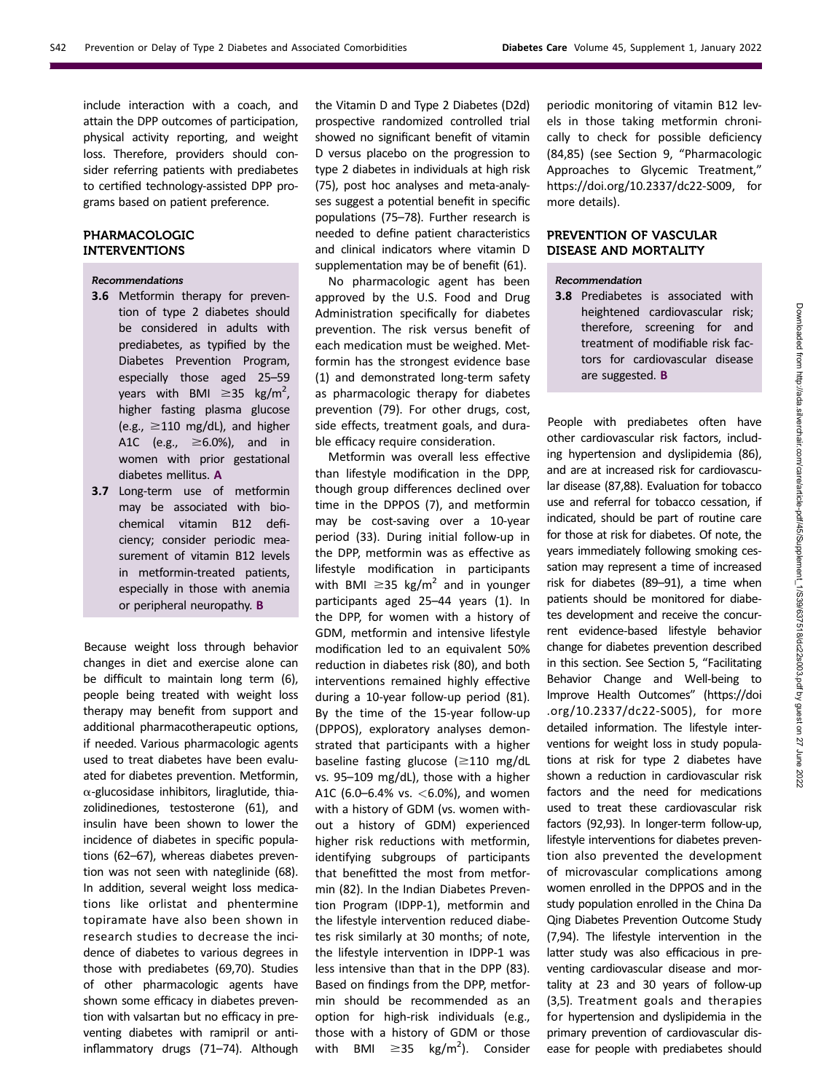include interaction with a coach, and attain the DPP outcomes of participation, physical activity reporting, and weight loss. Therefore, providers should consider referring patients with prediabetes to certified technology-assisted DPP programs based on patient preference.

# PHARMACOLOGIC INTERVENTIONS

## Recommendations

- 3.6 Metformin therapy for prevention of type 2 diabetes should be considered in adults with prediabetes, as typified by the Diabetes Prevention Program, especially those aged 25–59 years with BMI  $\geq$ 35 kg/m<sup>2</sup>, higher fasting plasma glucose (e.g.,  $\geq$ 110 mg/dL), and higher A1C (e.g.,  $\geq 6.0$ %), and in women with prior gestational diabetes mellitus. A
- 3.7 Long-term use of metformin may be associated with biochemical vitamin B12 deficiency; consider periodic measurement of vitamin B12 levels in metformin-treated patients, especially in those with anemia or peripheral neuropathy. B

Because weight loss through behavior changes in diet and exercise alone can be difficult to maintain long term (6), people being treated with weight loss therapy may benefit from support and additional pharmacotherapeutic options, if needed. Various pharmacologic agents used to treat diabetes have been evaluated for diabetes prevention. Metformin,  $\alpha$ -glucosidase inhibitors, liraglutide, thiazolidinediones, testosterone (61), and insulin have been shown to lower the incidence of diabetes in specific populations (62–67), whereas diabetes prevention was not seen with nateglinide (68). In addition, several weight loss medications like orlistat and phentermine topiramate have also been shown in research studies to decrease the incidence of diabetes to various degrees in those with prediabetes (69,70). Studies of other pharmacologic agents have shown some efficacy in diabetes prevention with valsartan but no efficacy in preventing diabetes with ramipril or antiinflammatory drugs (71–74). Although

the Vitamin D and Type 2 Diabetes (D2d) prospective randomized controlled trial showed no significant benefit of vitamin D versus placebo on the progression to type 2 diabetes in individuals at high risk (75), post hoc analyses and meta-analyses suggest a potential benefit in specific populations (75–78). Further research is needed to define patient characteristics and clinical indicators where vitamin D supplementation may be of benefit (61).

No pharmacologic agent has been approved by the U.S. Food and Drug Administration specifically for diabetes prevention. The risk versus benefit of each medication must be weighed. Metformin has the strongest evidence base (1) and demonstrated long-term safety as pharmacologic therapy for diabetes prevention (79). For other drugs, cost, side effects, treatment goals, and durable efficacy require consideration.

Metformin was overall less effective than lifestyle modification in the DPP, though group differences declined over time in the DPPOS (7), and metformin may be cost-saving over a 10-year period (33). During initial follow-up in the DPP, metformin was as effective as lifestyle modification in participants with BMI  $\geq$ 35 kg/m<sup>2</sup> and in younger participants aged 25–44 years (1). In the DPP, for women with a history of GDM, metformin and intensive lifestyle modification led to an equivalent 50% reduction in diabetes risk (80), and both interventions remained highly effective during a 10-year follow-up period (81). By the time of the 15-year follow-up (DPPOS), exploratory analyses demonstrated that participants with a higher baseline fasting glucose ( $\geq$ 110 mg/dL vs. 95–109 mg/dL), those with a higher A1C (6.0-6.4% vs.  $<$  6.0%), and women with a history of GDM (vs. women without a history of GDM) experienced higher risk reductions with metformin, identifying subgroups of participants that benefitted the most from metformin (82). In the Indian Diabetes Prevention Program (IDPP-1), metformin and the lifestyle intervention reduced diabetes risk similarly at 30 months; of note, the lifestyle intervention in IDPP-1 was less intensive than that in the DPP (83). Based on findings from the DPP, metformin should be recommended as an option for high-risk individuals (e.g., those with a history of GDM or those with BMI  $\geq$ 35 kg/m<sup>2</sup>). Consider

periodic monitoring of vitamin B12 levels in those taking metformin chronically to check for possible deficiency (84,85) (see Section 9, "Pharmacologic Approaches to Glycemic Treatment," <https://doi.org/10.2337/dc22-S009>, for more details).

# PREVENTION OF VASCULAR DISEASE AND MORTALITY

### Recommendation

3.8 Prediabetes is associated with heightened cardiovascular risk; therefore, screening for and treatment of modifiable risk factors for cardiovascular disease are suggested. B

People with prediabetes often have other cardiovascular risk factors, including hypertension and dyslipidemia (86), and are at increased risk for cardiovascular disease (87,88). Evaluation for tobacco use and referral for tobacco cessation, if indicated, should be part of routine care for those at risk for diabetes. Of note, the years immediately following smoking cessation may represent a time of increased risk for diabetes (89–91), a time when patients should be monitored for diabetes development and receive the concurrent evidence-based lifestyle behavior change for diabetes prevention described in this section. See Section 5, "Facilitating Behavior Change and Well-being to Improve Health Outcomes" [\(https://doi](https://doi.org/10.2337/dc22-S005) [.org/10.2337/dc22-S005](https://doi.org/10.2337/dc22-S005)), for more detailed information. The lifestyle interventions for weight loss in study populations at risk for type 2 diabetes have shown a reduction in cardiovascular risk factors and the need for medications used to treat these cardiovascular risk factors (92,93). In longer-term follow-up, lifestyle interventions for diabetes prevention also prevented the development of microvascular complications among women enrolled in the DPPOS and in the study population enrolled in the China Da Qing Diabetes Prevention Outcome Study (7,94). The lifestyle intervention in the latter study was also efficacious in preventing cardiovascular disease and mortality at 23 and 30 years of follow-up (3,5). Treatment goals and therapies for hypertension and dyslipidemia in the primary prevention of cardiovascular disease for people with prediabetes should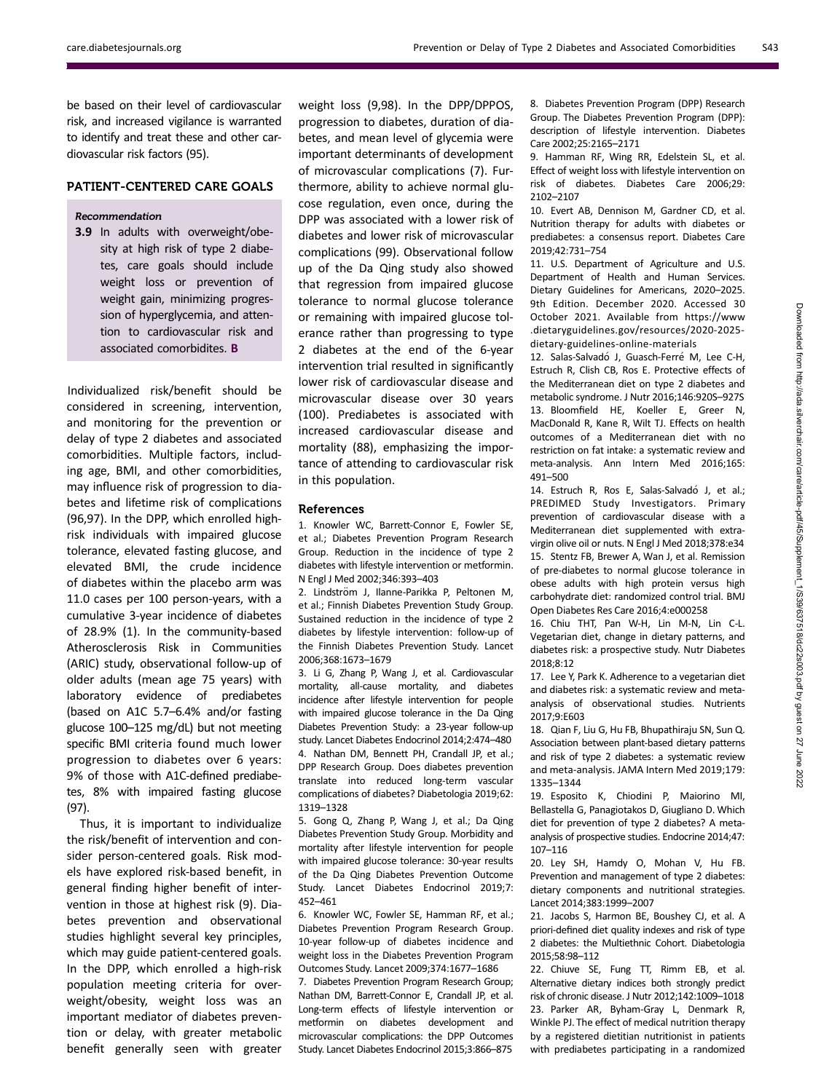be based on their level of cardiovascular risk, and increased vigilance is warranted to identify and treat these and other cardiovascular risk factors (95).

# PATIENT-CENTERED CARE GOALS

#### Recommendation

3.9 In adults with overweight/obesity at high risk of type 2 diabetes, care goals should include weight loss or prevention of weight gain, minimizing progression of hyperglycemia, and attention to cardiovascular risk and associated comorbidites. B

Individualized risk/benefit should be considered in screening, intervention, and monitoring for the prevention or delay of type 2 diabetes and associated comorbidities. Multiple factors, including age, BMI, and other comorbidities, may influence risk of progression to diabetes and lifetime risk of complications (96,97). In the DPP, which enrolled highrisk individuals with impaired glucose tolerance, elevated fasting glucose, and elevated BMI, the crude incidence of diabetes within the placebo arm was 11.0 cases per 100 person-years, with a cumulative 3-year incidence of diabetes of 28.9% (1). In the community-based Atherosclerosis Risk in Communities (ARIC) study, observational follow-up of older adults (mean age 75 years) with laboratory evidence of prediabetes (based on A1C 5.7–6.4% and/or fasting glucose 100–125 mg/dL) but not meeting specific BMI criteria found much lower progression to diabetes over 6 years: 9% of those with A1C-defined prediabetes, 8% with impaired fasting glucose (97).

Thus, it is important to individualize the risk/benefit of intervention and consider person-centered goals. Risk models have explored risk-based benefit, in general finding higher benefit of intervention in those at highest risk (9). Diabetes prevention and observational studies highlight several key principles, which may guide patient-centered goals. In the DPP, which enrolled a high-risk population meeting criteria for overweight/obesity, weight loss was an important mediator of diabetes prevention or delay, with greater metabolic benefit generally seen with greater

weight loss (9,98). In the DPP/DPPOS, progression to diabetes, duration of diabetes, and mean level of glycemia were important determinants of development of microvascular complications (7). Furthermore, ability to achieve normal glucose regulation, even once, during the DPP was associated with a lower risk of diabetes and lower risk of microvascular complications (99). Observational follow up of the Da Qing study also showed that regression from impaired glucose tolerance to normal glucose tolerance or remaining with impaired glucose tolerance rather than progressing to type 2 diabetes at the end of the 6-year intervention trial resulted in significantly lower risk of cardiovascular disease and microvascular disease over 30 years (100). Prediabetes is associated with increased cardiovascular disease and mortality (88), emphasizing the importance of attending to cardiovascular risk in this population.

#### References

1. Knowler WC, Barrett-Connor E, Fowler SE, et al.; Diabetes Prevention Program Research Group. Reduction in the incidence of type 2 diabetes with lifestyle intervention or metformin. N Engl J Med 2002;346:393–403

2. Lindström J, Ilanne-Parikka P, Peltonen M, et al.; Finnish Diabetes Prevention Study Group. Sustained reduction in the incidence of type 2 diabetes by lifestyle intervention: follow-up of the Finnish Diabetes Prevention Study. Lancet 2006;368:1673–1679

3. Li G, Zhang P, Wang J, et al. Cardiovascular mortality, all-cause mortality, and diabetes incidence after lifestyle intervention for people with impaired glucose tolerance in the Da Qing Diabetes Prevention Study: a 23-year follow-up study. Lancet Diabetes Endocrinol 2014;2:474–480 4. Nathan DM, Bennett PH, Crandall JP, et al.; DPP Research Group. Does diabetes prevention translate into reduced long-term vascular complications of diabetes? Diabetologia 2019;62: 1319–1328

5. Gong Q, Zhang P, Wang J, et al.; Da Qing Diabetes Prevention Study Group. Morbidity and mortality after lifestyle intervention for people with impaired glucose tolerance: 30-year results of the Da Qing Diabetes Prevention Outcome Study. Lancet Diabetes Endocrinol 2019;7: 452–461

6. Knowler WC, Fowler SE, Hamman RF, et al.; Diabetes Prevention Program Research Group. 10-year follow-up of diabetes incidence and weight loss in the Diabetes Prevention Program Outcomes Study. Lancet 2009;374:1677–1686

7. Diabetes Prevention Program Research Group; Nathan DM, Barrett-Connor E, Crandall JP, et al. Long-term effects of lifestyle intervention or metformin on diabetes development and microvascular complications: the DPP Outcomes Study. Lancet Diabetes Endocrinol 2015;3:866–875

8. Diabetes Prevention Program (DPP) Research Group. The Diabetes Prevention Program (DPP): description of lifestyle intervention. Diabetes Care 2002;25:2165–2171

9. Hamman RF, Wing RR, Edelstein SL, et al. Effect of weight loss with lifestyle intervention on risk of diabetes. Diabetes Care 2006;29: 2102–2107

10. Evert AB, Dennison M, Gardner CD, et al. Nutrition therapy for adults with diabetes or prediabetes: a consensus report. Diabetes Care 2019;42:731–754

11. U.S. Department of Agriculture and U.S. Department of Health and Human Services. Dietary Guidelines for Americans, 2020–2025. 9th Edition. December 2020. Accessed 30 October 2021. Available from [https://www](https://www.dietaryguidelines.gov/resources/2020-2025-dietary-guidelines-online-materials) [.dietaryguidelines.gov/resources/2020-2025](https://www.dietaryguidelines.gov/resources/2020-2025-dietary-guidelines-online-materials) [dietary-guidelines-online-materials](https://www.dietaryguidelines.gov/resources/2020-2025-dietary-guidelines-online-materials)

12. Salas-Salvadó J, Guasch-Ferré M, Lee C-H, Estruch R, Clish CB, Ros E. Protective effects of the Mediterranean diet on type 2 diabetes and metabolic syndrome. J Nutr 2016;146:920S–927S 13. Bloomfield HE, Koeller E, Greer N, MacDonald R, Kane R, Wilt TJ. Effects on health outcomes of a Mediterranean diet with no restriction on fat intake: a systematic review and meta-analysis. Ann Intern Med 2016;165: 491–500

14. Estruch R, Ros E, Salas-Salvadó J, et al.; PREDIMED Study Investigators. Primary prevention of cardiovascular disease with a Mediterranean diet supplemented with extravirgin olive oil or nuts. N Engl J Med 2018;378:e34 15. Stentz FB, Brewer A, Wan J, et al. Remission of pre-diabetes to normal glucose tolerance in obese adults with high protein versus high carbohydrate diet: randomized control trial. BMJ Open Diabetes Res Care 2016;4:e000258

16. Chiu THT, Pan W-H, Lin M-N, Lin C-L. Vegetarian diet, change in dietary patterns, and diabetes risk: a prospective study. Nutr Diabetes 2018;8:12

17. Lee Y, Park K. Adherence to a vegetarian diet and diabetes risk: a systematic review and metaanalysis of observational studies. Nutrients 2017;9:E603

18. Qian F, Liu G, Hu FB, Bhupathiraju SN, Sun Q. Association between plant-based dietary patterns and risk of type 2 diabetes: a systematic review and meta-analysis. JAMA Intern Med 2019;179: 1335–1344

19. Esposito K, Chiodini P, Maiorino MI, Bellastella G, Panagiotakos D, Giugliano D. Which diet for prevention of type 2 diabetes? A metaanalysis of prospective studies. Endocrine 2014;47: 107–116

20. Ley SH, Hamdy O, Mohan V, Hu FB. Prevention and management of type 2 diabetes: dietary components and nutritional strategies. Lancet 2014;383:1999–2007

21. Jacobs S, Harmon BE, Boushey CJ, et al. A priori-defined diet quality indexes and risk of type 2 diabetes: the Multiethnic Cohort. Diabetologia 2015;58:98–112

22. Chiuve SE, Fung TT, Rimm EB, et al. Alternative dietary indices both strongly predict risk of chronic disease. J Nutr 2012;142:1009–1018 23. Parker AR, Byham-Gray L, Denmark R, Winkle PJ. The effect of medical nutrition therapy by a registered dietitian nutritionist in patients with prediabetes participating in a randomized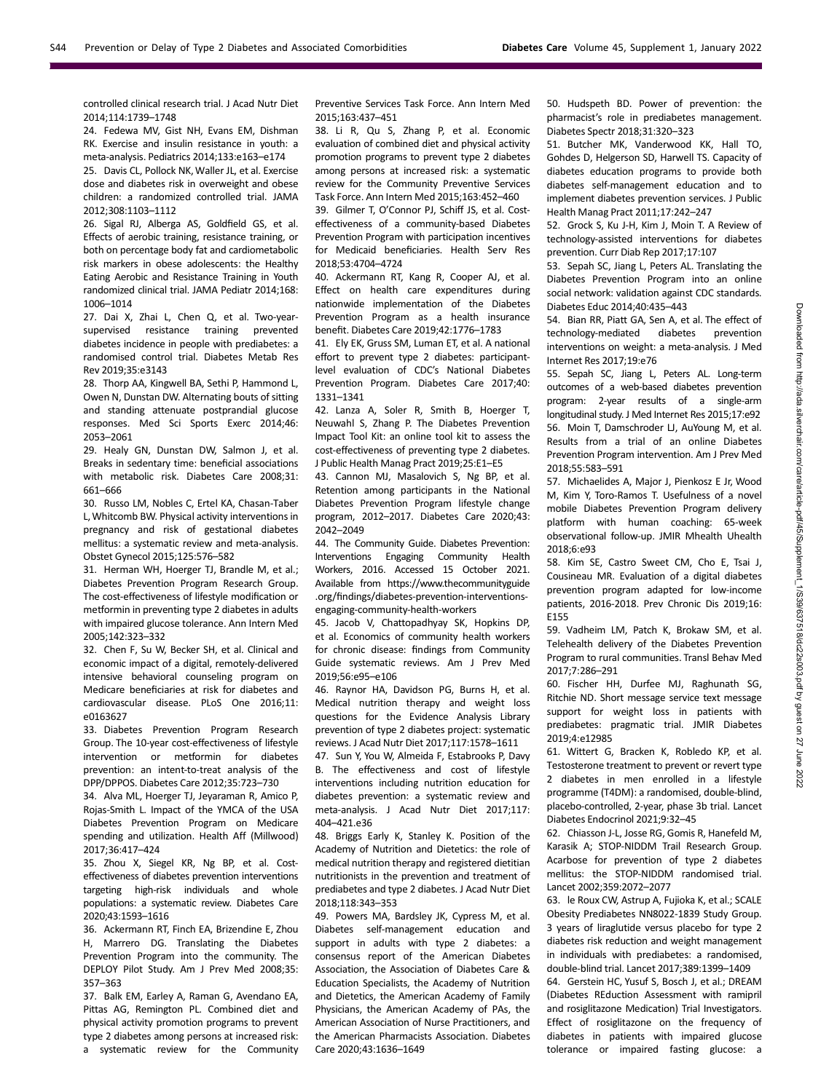controlled clinical research trial. J Acad Nutr Diet 2014;114:1739–1748

24. Fedewa MV, Gist NH, Evans EM, Dishman RK. Exercise and insulin resistance in youth: a meta-analysis. Pediatrics 2014;133:e163–e174

25. Davis CL, Pollock NK, Waller JL, et al. Exercise dose and diabetes risk in overweight and obese children: a randomized controlled trial. JAMA 2012;308:1103–1112

26. Sigal RJ, Alberga AS, Goldfield GS, et al. Effects of aerobic training, resistance training, or both on percentage body fat and cardiometabolic risk markers in obese adolescents: the Healthy Eating Aerobic and Resistance Training in Youth randomized clinical trial. JAMA Pediatr 2014;168: 1006–1014

27. Dai X, Zhai L, Chen Q, et al. Two-yearsupervised resistance training prevented diabetes incidence in people with prediabetes: a randomised control trial. Diabetes Metab Res Rev 2019;35:e3143

28. Thorp AA, Kingwell BA, Sethi P, Hammond L, Owen N, Dunstan DW. Alternating bouts of sitting and standing attenuate postprandial glucose responses. Med Sci Sports Exerc 2014;46: 2053–2061

29. Healy GN, Dunstan DW, Salmon J, et al. Breaks in sedentary time: beneficial associations with metabolic risk. Diabetes Care 2008;31: 661–666

30. Russo LM, Nobles C, Ertel KA, Chasan-Taber L,Whitcomb BW. Physical activity interventions in pregnancy and risk of gestational diabetes mellitus: a systematic review and meta-analysis. Obstet Gynecol 2015;125:576–582

31. Herman WH, Hoerger TJ, Brandle M, et al.; Diabetes Prevention Program Research Group. The cost-effectiveness of lifestyle modification or metformin in preventing type 2 diabetes in adults with impaired glucose tolerance. Ann Intern Med 2005;142:323–332

32. Chen F, Su W, Becker SH, et al. Clinical and economic impact of a digital, remotely-delivered intensive behavioral counseling program on Medicare beneficiaries at risk for diabetes and cardiovascular disease. PLoS One 2016;11: e0163627

33. Diabetes Prevention Program Research Group. The 10-year cost-effectiveness of lifestyle intervention or metformin for diabetes prevention: an intent-to-treat analysis of the DPP/DPPOS. Diabetes Care 2012;35:723–730

34. Alva ML, Hoerger TJ, Jeyaraman R, Amico P, Rojas-Smith L. Impact of the YMCA of the USA Diabetes Prevention Program on Medicare spending and utilization. Health Aff (Millwood) 2017;36:417–424

35. Zhou X, Siegel KR, Ng BP, et al. Costeffectiveness of diabetes prevention interventions targeting high-risk individuals and whole populations: a systematic review. Diabetes Care 2020;43:1593–1616

36. Ackermann RT, Finch EA, Brizendine E, Zhou H, Marrero DG. Translating the Diabetes Prevention Program into the community. The DEPLOY Pilot Study. Am J Prev Med 2008;35: 357–363

37. Balk EM, Earley A, Raman G, Avendano EA, Pittas AG, Remington PL. Combined diet and physical activity promotion programs to prevent type 2 diabetes among persons at increased risk: a systematic review for the Community Preventive Services Task Force. Ann Intern Med 2015;163:437–451

38. Li R, Qu S, Zhang P, et al. Economic evaluation of combined diet and physical activity promotion programs to prevent type 2 diabetes among persons at increased risk: a systematic review for the Community Preventive Services Task Force. Ann Intern Med 2015;163:452–460

39. Gilmer T, O'Connor PJ, Schiff JS, et al. Costeffectiveness of a community-based Diabetes Prevention Program with participation incentives for Medicaid beneficiaries. Health Serv Res 2018;53:4704–4724

40. Ackermann RT, Kang R, Cooper AJ, et al. Effect on health care expenditures during nationwide implementation of the Diabetes Prevention Program as a health insurance benefit. Diabetes Care 2019;42:1776–1783

41. Ely EK, Gruss SM, Luman ET, et al. A national effort to prevent type 2 diabetes: participantlevel evaluation of CDC's National Diabetes Prevention Program. Diabetes Care 2017;40: 1331–1341

42. Lanza A, Soler R, Smith B, Hoerger T, Neuwahl S, Zhang P. The Diabetes Prevention Impact Tool Kit: an online tool kit to assess the cost-effectiveness of preventing type 2 diabetes. J Public Health Manag Pract 2019;25:E1–E5

43. Cannon MJ, Masalovich S, Ng BP, et al. Retention among participants in the National Diabetes Prevention Program lifestyle change program, 2012–2017. Diabetes Care 2020;43: 2042–2049

44. The Community Guide. Diabetes Prevention: Interventions Engaging Community Health Workers, 2016. Accessed 15 October 2021. Available from [https://www.thecommunityguide](https://www.thecommunityguide.org/findings/diabetes-prevention-interventions-engaging-community-health-workers) .org/fi[ndings/diabetes-prevention-interventions](https://www.thecommunityguide.org/findings/diabetes-prevention-interventions-engaging-community-health-workers)[engaging-community-health-workers](https://www.thecommunityguide.org/findings/diabetes-prevention-interventions-engaging-community-health-workers)

45. Jacob V, Chattopadhyay SK, Hopkins DP, et al. Economics of community health workers for chronic disease: findings from Community Guide systematic reviews. Am J Prev Med 2019;56:e95–e106

46. Raynor HA, Davidson PG, Burns H, et al. Medical nutrition therapy and weight loss questions for the Evidence Analysis Library prevention of type 2 diabetes project: systematic reviews. J Acad Nutr Diet 2017;117:1578–1611

47. Sun Y, You W, Almeida F, Estabrooks P, Davy B. The effectiveness and cost of lifestyle interventions including nutrition education for diabetes prevention: a systematic review and meta-analysis. J Acad Nutr Diet 2017;117: 404–421.e36

48. Briggs Early K, Stanley K. Position of the Academy of Nutrition and Dietetics: the role of medical nutrition therapy and registered dietitian nutritionists in the prevention and treatment of prediabetes and type 2 diabetes. J Acad Nutr Diet 2018;118:343–353

49. Powers MA, Bardsley JK, Cypress M, et al. Diabetes self-management education and support in adults with type 2 diabetes: a consensus report of the American Diabetes Association, the Association of Diabetes Care & Education Specialists, the Academy of Nutrition and Dietetics, the American Academy of Family Physicians, the American Academy of PAs, the American Association of Nurse Practitioners, and the American Pharmacists Association. Diabetes Care 2020;43:1636–1649

50. Hudspeth BD. Power of prevention: the pharmacist's role in prediabetes management. Diabetes Spectr 2018;31:320–323

51. Butcher MK, Vanderwood KK, Hall TO, Gohdes D, Helgerson SD, Harwell TS. Capacity of diabetes education programs to provide both diabetes self-management education and to implement diabetes prevention services. J Public Health Manag Pract 2011;17:242–247

52. Grock S, Ku J-H, Kim J, Moin T. A Review of technology-assisted interventions for diabetes prevention. Curr Diab Rep 2017;17:107

53. Sepah SC, Jiang L, Peters AL. Translating the Diabetes Prevention Program into an online social network: validation against CDC standards. Diabetes Educ 2014;40:435–443

54. Bian RR, Piatt GA, Sen A, et al. The effect of technology-mediated diabetes prevention interventions on weight: a meta-analysis. J Med Internet Res 2017;19:e76

55. Sepah SC, Jiang L, Peters AL. Long-term outcomes of a web-based diabetes prevention program: 2-year results of a single-arm longitudinal study. J Med Internet Res 2015;17:e92 56. Moin T, Damschroder LJ, AuYoung M, et al. Results from a trial of an online Diabetes Prevention Program intervention. Am J Prev Med 2018;55:583–591

57. Michaelides A, Major J, Pienkosz E Jr, Wood M, Kim Y, Toro-Ramos T. Usefulness of a novel mobile Diabetes Prevention Program delivery platform with human coaching: 65-week observational follow-up. JMIR Mhealth Uhealth 2018;6:e93

58. Kim SE, Castro Sweet CM, Cho E, Tsai J, Cousineau MR. Evaluation of a digital diabetes prevention program adapted for low-income patients, 2016-2018. Prev Chronic Dis 2019;16: E155

59. Vadheim LM, Patch K, Brokaw SM, et al. Telehealth delivery of the Diabetes Prevention Program to rural communities. Transl Behav Med 2017;7:286–291

60. Fischer HH, Durfee MJ, Raghunath SG, Ritchie ND. Short message service text message support for weight loss in patients with prediabetes: pragmatic trial. JMIR Diabetes 2019;4:e12985

61. Wittert G, Bracken K, Robledo KP, et al. Testosterone treatment to prevent or revert type 2 diabetes in men enrolled in a lifestyle programme (T4DM): a randomised, double-blind, placebo-controlled, 2-year, phase 3b trial. Lancet Diabetes Endocrinol 2021;9:32–45

62. Chiasson J-L, Josse RG, Gomis R, Hanefeld M, Karasik A; STOP-NIDDM Trail Research Group. Acarbose for prevention of type 2 diabetes mellitus: the STOP-NIDDM randomised trial. Lancet 2002;359:2072–2077

63. le Roux CW, Astrup A, Fujioka K, et al.; SCALE Obesity Prediabetes NN8022-1839 Study Group. 3 years of liraglutide versus placebo for type 2 diabetes risk reduction and weight management in individuals with prediabetes: a randomised, double-blind trial. Lancet 2017;389:1399–1409

64. Gerstein HC, Yusuf S, Bosch J, et al.; DREAM (Diabetes REduction Assessment with ramipril and rosiglitazone Medication) Trial Investigators. Effect of rosiglitazone on the frequency of diabetes in patients with impaired glucose tolerance or impaired fasting glucose: a